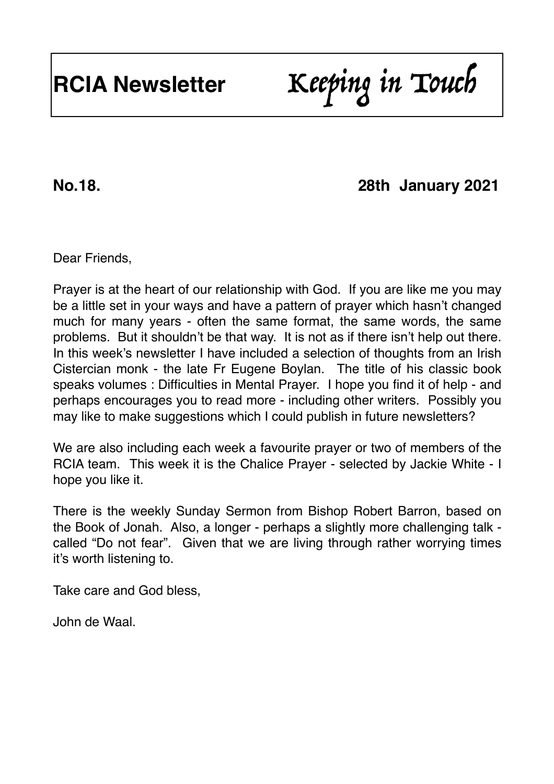# **No.18. 28th January 2021**

Dear Friends,

Prayer is at the heart of our relationship with God. If you are like me you may be a little set in your ways and have a pattern of prayer which hasn't changed much for many years - often the same format, the same words, the same problems. But it shouldn't be that way. It is not as if there isn't help out there. In this week's newsletter I have included a selection of thoughts from an Irish Cistercian monk - the late Fr Eugene Boylan. The title of his classic book speaks volumes : Difficulties in Mental Prayer. I hope you find it of help - and perhaps encourages you to read more - including other writers. Possibly you may like to make suggestions which I could publish in future newsletters?

We are also including each week a favourite prayer or two of members of the RCIA team. This week it is the Chalice Prayer - selected by Jackie White - I hope you like it.

There is the weekly Sunday Sermon from Bishop Robert Barron, based on the Book of Jonah. Also, a longer - perhaps a slightly more challenging talk called "Do not fear". Given that we are living through rather worrying times it's worth listening to.

Take care and God bless,

John de Waal.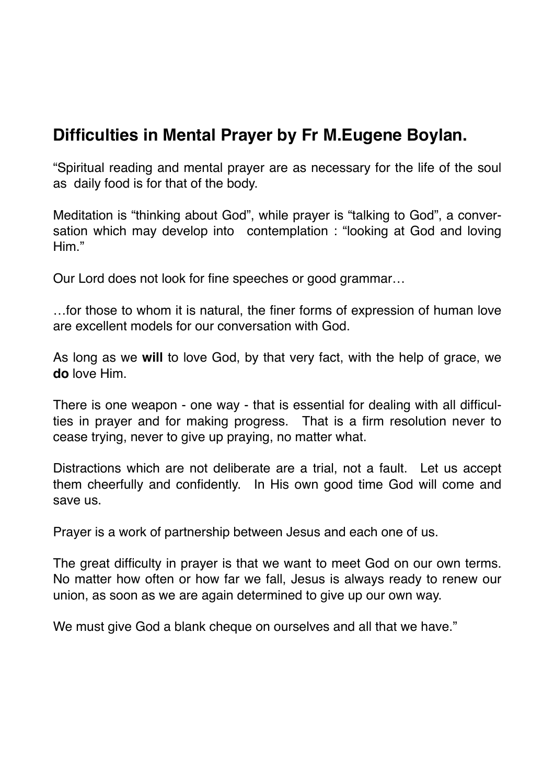## **Difficulties in Mental Prayer by Fr M.Eugene Boylan.**

"Spiritual reading and mental prayer are as necessary for the life of the soul as daily food is for that of the body.

Meditation is "thinking about God", while prayer is "talking to God", a conversation which may develop into contemplation : "looking at God and loving Him."

Our Lord does not look for fine speeches or good grammar…

…for those to whom it is natural, the finer forms of expression of human love are excellent models for our conversation with God.

As long as we **will** to love God, by that very fact, with the help of grace, we **do** love Him.

There is one weapon - one way - that is essential for dealing with all difficulties in prayer and for making progress. That is a firm resolution never to cease trying, never to give up praying, no matter what.

Distractions which are not deliberate are a trial, not a fault. Let us accept them cheerfully and confidently. In His own good time God will come and save us.

Prayer is a work of partnership between Jesus and each one of us.

The great difficulty in prayer is that we want to meet God on our own terms. No matter how often or how far we fall, Jesus is always ready to renew our union, as soon as we are again determined to give up our own way.

We must give God a blank cheque on ourselves and all that we have."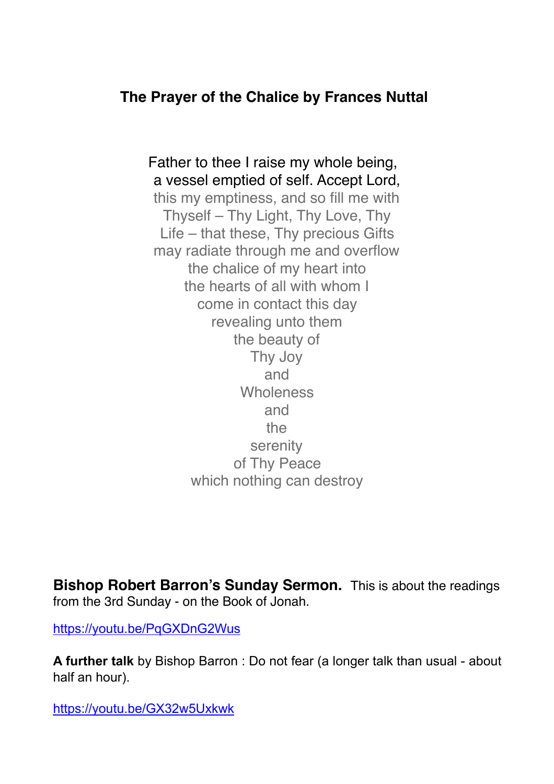#### **The Prayer of the Chalice by Frances Nuttal**

 Father to thee I raise my whole being, a vessel emptied of self. Accept Lord, this my emptiness, and so fill me with Thyself – Thy Light, Thy Love, Thy Life – that these, Thy precious Gifts may radiate through me and overflow the chalice of my heart into the hearts of all with whom I come in contact this day revealing unto them the beauty of Thy Joy and **Wholeness** and the serenity of Thy Peace which nothing can destroy

**Bishop Robert Barron's Sunday Sermon.** This is about the readings from the 3rd Sunday - on the Book of Jonah.

<https://youtu.be/PqGXDnG2Wus>

**A further talk** by Bishop Barron : Do not fear (a longer talk than usual - about half an hour).

<https://youtu.be/GX32w5Uxkwk>